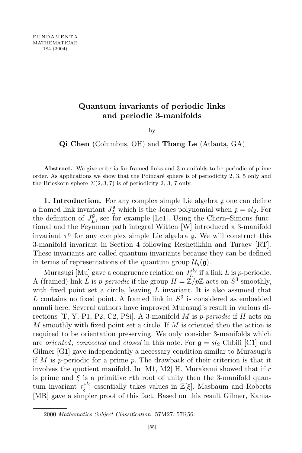## **Quantum invariants of periodic links and periodic 3-manifolds**

by

**Qi Chen** (Columbus, OH) and **Thang Le** (Atlanta, GA)

**Abstract.** We give criteria for framed links and 3-manifolds to be periodic of prime order. As applications we show that the Poincaré sphere is of periodicity  $2, 3, 5$  only and the Brieskorn sphere  $\Sigma(2,3,7)$  is of periodicity 2, 3, 7 only.

**1. Introduction.** For any complex simple Lie algebra g one can define a framed link invariant  $J_L^{\mathfrak{g}}$  which is the Jones polynomial when  $\mathfrak{g} = sl_2$ . For the definition of  $J_L^{\mathfrak{g}}$  $L^{\mathfrak{g}}$ , see for example [Le1]. Using the Chern–Simons functional and the Feynman path integral Witten [W] introduced a 3-manifold invariant  $\tau^{\mathfrak{g}}$  for any complex simple Lie algebra  $\mathfrak{g}$ . We will construct this 3-manifold invariant in Section 4 following Reshetikhin and Turaev [RT]. These invariants are called quantum invariants because they can be defined in terms of representations of the quantum group  $\mathcal{U}_q(\mathfrak{g})$ .

Murasugi [Mu] gave a congruence relation on  $J_L^{sl_2}$  if a link *L* is *p*-periodic. A (framed) link *L* is *p*-periodic if the group  $H = \mathbb{Z}/p\mathbb{Z}$  acts on  $S^3$  smoothly, with fixed point set a circle, leaving *L* invariant. It is also assumed that *L* contains no fixed point. A framed link in *S* 3 is considered as embedded annuli here. Several authors have improved Murasugi's result in various directions [T, Y, P1, P2, C2, PSi]. A 3-manifold *M* is *p*-*periodic* if *H* acts on *M* smoothly with fixed point set a circle. If *M* is oriented then the action is required to be orientation preserving. We only consider 3-manifolds which are *oriented*, *connected* and *closed* in this note. For  $g = sl_2$  Chbili [C1] and Gilmer [G1] gave independently a necessary condition similar to Murasugi's if *M* is *p*-periodic for a prime *p*. The drawback of their criterion is that it involves the quotient manifold. In [M1, M2] H. Murakami showed that if *r* is prime and  $\xi$  is a primitive *r*th root of unity then the 3-manifold quantum invariant  $\tau_{\epsilon}^{sl_2}$ *ξ* essentially takes values in Z[*ξ*]. Masbaum and Roberts [MR] gave a simpler proof of this fact. Based on this result Gilmer, Kania-

<sup>2000</sup> *Mathematics Subject Classification*: 57M27, 57R56.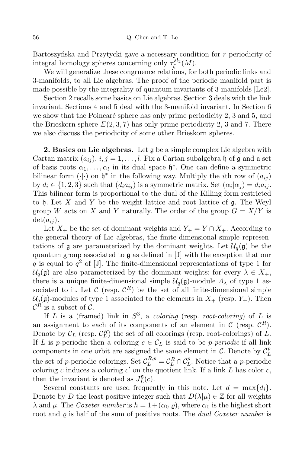Bartoszynska and Przytycki gave a necessary condition for *r*-periodicity of integral homology spheres concerning only  $\tau_{\varepsilon}^{sl_2}$ *ξ* (*M*).

We will generalize these congruence relations, for both periodic links and 3-manifolds, to all Lie algebras. The proof of the periodic manifold part is made possible by the integrality of quantum invariants of 3-manifolds [Le2].

Section 2 recalls some basics on Lie algebras. Section 3 deals with the link invariant. Sections 4 and 5 deal with the 3-manifold invariant. In Section 6 we show that the Poincaré sphere has only prime periodicity  $2, 3$  and  $5$ , and the Brieskorn sphere  $\Sigma(2,3,7)$  has only prime periodicity 2, 3 and 7. There we also discuss the periodicity of some other Brieskorn spheres.

**2. Basics on Lie algebras.** Let g be a simple complex Lie algebra with Cartan matrix  $(a_{ij})$ ,  $i, j = 1, \ldots, l$ . Fix a Cartan subalgebra h of g and a set of basis roots  $\alpha_1, \ldots, \alpha_l$  in its dual space  $\mathfrak{h}^*$ . One can define a symmetric bilinear form  $(\cdot)$  on  $\mathfrak{h}^*$  in the following way. Multiply the *i*th row of  $(a_{ij})$ by  $d_i \in \{1, 2, 3\}$  such that  $(d_i a_{ij})$  is a symmetric matrix. Set  $(\alpha_i | \alpha_j) = d_i a_{ij}$ . This bilinear form is proportional to the dual of the Killing form restricted to h. Let *X* and *Y* be the weight lattice and root lattice of g. The Weyl group *W* acts on *X* and *Y* naturally. The order of the group  $G = X/Y$  is  $det(a_{ij}).$ 

Let  $X_+$  be the set of dominant weights and  $Y_+ = Y \cap X_+$ . According to the general theory of Lie algebras, the finite-dimensional simple representations of  $\mathfrak g$  are parameterized by the dominant weights. Let  $\mathcal U_q(\mathfrak g)$  be the quantum group associated to g as defined in [J] with the exception that our *q* is equal to *q* <sup>2</sup> of [J]. The finite-dimensional representations of type 1 for  $U_q$ (g) are also parameterized by the dominant weights: for every  $\lambda \in X_+$ , there is a unique finite-dimensional simple  $\mathcal{U}_q(\mathfrak{g})$ -module  $\Lambda_\lambda$  of type 1 associated to it. Let  $\mathcal{C}$  (resp.  $\mathcal{C}^R$ ) be the set of all finite-dimensional simple  $\mathcal{U}_q(\mathfrak{g})$ -modules of type 1 associated to the elements in  $X_+$  (resp.  $Y_+$ ). Then  $\mathcal{C}^R$  is a subset of  $\mathcal{C}$ .

If *L* is a (framed) link in *S* 3 , a *coloring* (resp. *root-coloring*) of *L* is an assignment to each of its components of an element in  $\mathcal{C}$  (resp.  $\mathcal{C}^R$ ). Denote by  $\mathcal{C}_L$  (resp.  $\mathcal{C}_L^R$ ) the set of all colorings (resp. root-colorings) of *L*. If *L* is *p*-periodic then a coloring  $c \in C_L$  is said to be *p*-*periodic* if all link components in one orbit are assigned the same element in  $\mathcal{C}$ . Denote by  $\mathcal{C}_L^p$ *L* the set of *p*-periodic colorings. Set  $\mathcal{C}_{L}^{R,p} = \mathcal{C}_{L}^{R} \cap \mathcal{C}_{L}^{p}$ *L* . Notice that a *p*-periodic coloring *c* induces a coloring  $c'$  on the quotient link. If a link  $L$  has color  $c$ , then the invariant is denoted as  $J_L^{\mathfrak{g}}$  $_{L}^{\mathfrak{g}}(c).$ 

Several constants are used frequently in this note. Let  $d = \max\{d_i\}$ . Denote by *D* the least positive integer such that  $D(\lambda|\mu) \in \mathbb{Z}$  for all weights *λ* and *μ*. The *Coxeter number* is  $h = 1 + (α<sub>0</sub>|*g*),$  where  $α<sub>0</sub>$  is the highest short root and  $\rho$  is half of the sum of positive roots. The *dual Coxeter number* is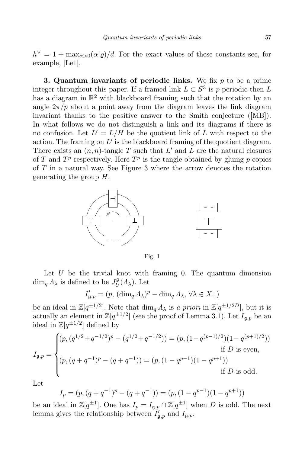$h^{\vee} = 1 + \max_{\alpha > 0} (\alpha | \varrho) / d$ . For the exact values of these constants see, for example, [Le1].

**3. Quantum invariants of periodic links.** We fix *p* to be a prime integer throughout this paper. If a framed link  $L \subset S^3$  is *p*-periodic then *L* has a diagram in  $\mathbb{R}^2$  with blackboard framing such that the rotation by an angle  $2\pi/p$  about a point away from the diagram leaves the link diagram invariant thanks to the positive answer to the Smith conjecture ([MB]). In what follows we do not distinguish a link and its diagrams if there is no confusion. Let  $L' = L/H$  be the quotient link of  $L$  with respect to the action. The framing on  $L'$  is the blackboard framing of the quotient diagram. There exists an  $(n, n)$ -tangle T such that  $L'$  and  $L$  are the natural closures of *T* and  $T^p$  respectively. Here  $T^p$  is the tangle obtained by gluing *p* copies of *T* in a natural way. See Figure 3 where the arrow denotes the rotation generating the group *H*.



Fig. 1

Let  $U$  be the trivial knot with framing 0. The quantum dimension  $\dim_q A_\lambda$  is defined to be  $J_U^{\mathfrak{g}}$ *U* (*Λλ*). Let

$$
I'_{\mathfrak{g},p} = (p, (\dim_q A_\lambda)^p - \dim_q A_\lambda, \,\forall \lambda \in X_+)
$$

be an ideal in  $\mathbb{Z}[q^{\pm 1/2}]$ . Note that  $\dim_q \Lambda_\lambda$  is a priori in  $\mathbb{Z}[q^{\pm 1/2D}]$ , but it is actually an element in  $\mathbb{Z}[q^{\pm 1/2}]$  (see the proof of Lemma 3.1). Let  $I_{\mathfrak{g},p}$  be an ideal in  $\mathbb{Z}[q^{\pm 1/2}]$  defined by

$$
I_{\mathfrak{g},p} = \begin{cases} (p,(q^{1/2}+q^{-1/2})^p - (q^{1/2}+q^{-1/2})) = (p,(1-q^{(p-1)/2})(1-q^{(p+1)/2})) \\ \text{if } D \text{ is even,} \\ (p,(q+q^{-1})^p - (q+q^{-1})) = (p,(1-q^{p-1})(1-q^{p+1})) \\ \text{if } D \text{ is odd.} \end{cases}
$$

Let

$$
I_p = (p, (q + q^{-1})^p - (q + q^{-1})) = (p, (1 - q^{p-1})(1 - q^{p+1}))
$$

be an ideal in  $\mathbb{Z}[q^{\pm 1}]$ . One has  $I_p = I_{\mathfrak{g},p} \cap \mathbb{Z}[q^{\pm 1}]$  when *D* is odd. The next lemma gives the relationship between  $I'_{\mathfrak{g},p}$  and  $I_{\mathfrak{g},p}$ .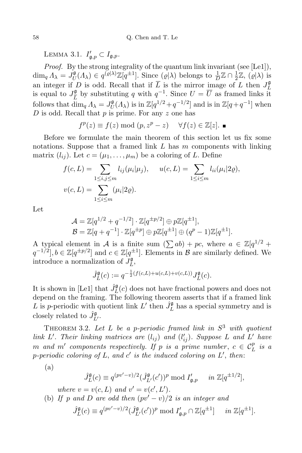LEMMA 3.1.  $I'_{\mathfrak{g},p} \subset I_{\mathfrak{g},p}$ .

*Proof.* By the strong integrality of the quantum link invariant (see [Le1]),  $\dim_q A_\lambda = J_U^{\mathfrak{g}}$  $U^{0}(I_{\lambda}) \in q^{(\varrho|\lambda)}\mathbb{Z}[q^{\pm 1}]$ . Since  $(\varrho|\lambda)$  belongs to  $\frac{1}{D}\mathbb{Z} \cap \frac{1}{2}$  $\frac{1}{2}\mathbb{Z}, (\varrho|\lambda)$  is an integer if *D* is odd. Recall that if  $\overline{L}$  is the mirror image of *L* then  $J_L^{\mathfrak{g}}$ *L* is equal to  $J_{\overline{L}}^{\mathfrak{g}}$ *L*<sup>*g*</sup></sup> by substituting *q* with  $q^{-1}$ . Since *U* =  $\overline{U}$  as framed links it follows that  $\dim_q A_\lambda = J_U^{\mathfrak{g}}$  $U(U(\Lambda_{\lambda}))$  is in  $\mathbb{Z}[q^{1/2}+q^{-1/2}]$  and is in  $\mathbb{Z}[q+q^{-1}]$  when *D* is odd. Recall that *p* is prime. For any *z* one has

$$
f^{p}(z) \equiv f(z) \bmod (p, z^{p} - z) \quad \forall f(z) \in \mathbb{Z}[z].
$$

Before we formulate the main theorem of this section let us fix some notations. Suppose that a framed link *L* has *m* components with linking matrix  $(l_{ij})$ . Let  $c = (\mu_1, \ldots, \mu_m)$  be a coloring of *L*. Define

$$
f(c, L) = \sum_{1 \le i, j \le m} l_{ij}(\mu_i | \mu_j), \quad u(c, L) = \sum_{1 \le i \le m} l_{ii}(\mu_i | 2\varrho),
$$
  

$$
v(c, L) = \sum_{1 \le i \le m} (\mu_i | 2\varrho).
$$

Let

$$
\mathcal{A} = \mathbb{Z}[q^{1/2} + q^{-1/2}] \cdot \mathbb{Z}[q^{\pm p/2}] \oplus p\mathbb{Z}[q^{\pm 1}],
$$
  

$$
\mathcal{B} = \mathbb{Z}[q + q^{-1}] \cdot \mathbb{Z}[q^{\pm p}] \oplus p\mathbb{Z}[q^{\pm 1}] \oplus (q^{p} - 1)\mathbb{Z}[q^{\pm 1}].
$$

A typical element in *A* is a finite sum  $(\sum ab) + pc$ , where  $a \in \mathbb{Z}[q^{1/2} +$  $q^{-1/2}$ ,  $b \in \mathbb{Z}[q^{\pm p/2}]$  and  $c \in \mathbb{Z}[q^{\pm 1}]$ . Elements in *B* are similarly defined. We introduce a normalization of  $J_L^{\mathfrak{g}}$ *L* ,

$$
\hat{J}_L^{\mathfrak{g}}(c) := q^{-\frac{1}{2}(f(c,L) + u(c,L) + v(c,L))} J_L^{\mathfrak{g}}(c).
$$

It is shown in [Le1] that  $\hat{J}_{L}^{\mathfrak{g}}(c)$  does not have fractional powers and does not depend on the framing. The following theorem asserts that if a framed link *L* is *p*-periodic with quotient link  $L'$  then  $\hat{J}_L^{\mathfrak{g}}$  has a special symmetry and is closely related to  $\hat{J}_{L'}^{\mathfrak{g}}$ .

THEOREM 3.2. Let L be a p-periodic framed link in  $S^3$  with quotient link L'. Their linking matrices are  $(l_{ij})$  and  $(l'_{ij})$ . Suppose L and L' have *m and m*<sup>*'*</sup> *components respectively. If p is a prime number*,  $c \in C_{L}^{p}$ *L is a p*-periodic coloring of  $L$ , and  $c'$  is the induced coloring on  $L'$ , then:

$$
(a)
$$

$$
\hat{J}_L^{\mathfrak{g}}(c) \equiv q^{(pv'-v)/2} (\hat{J}_{L'}^{\mathfrak{g}}(c'))^p \bmod I'_{\mathfrak{g},p} \quad in \ \mathbb{Z}[q^{\pm 1/2}],
$$

*where*  $v = v(c, L)$  *and*  $v' = v(c', L')$ *.* 

(b) If p and D are odd then 
$$
(pv' - v)/2
$$
 is an integer and

$$
\hat{J}_L^{\mathfrak{g}}(c) \equiv q^{(pv'-v)/2} (\hat{J}_{L'}^{\mathfrak{g}}(c'))^p \bmod I_{\mathfrak{g},p}' \cap \mathbb{Z}[q^{\pm 1}] \quad in \mathbb{Z}[q^{\pm 1}].
$$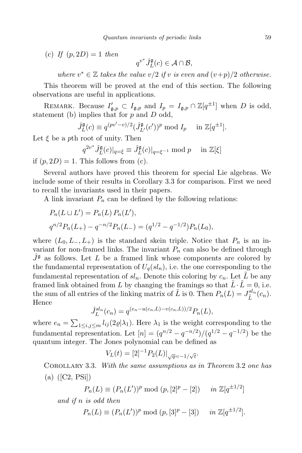(c) *If* (*p,* 2*D*) = 1 *then*

 $q^{v^*} \hat{J}_L^{\mathfrak{g}}(c) \in \mathcal{A} \cap \mathcal{B}$ ,

*where*  $v^* \in \mathbb{Z}$  *takes the value*  $v/2$  *if v is even and*  $(v+p)/2$  *otherwise.* 

This theorem will be proved at the end of this section. The following observations are useful in applications.

REMARK. Because  $I'_{\mathfrak{g},p} \subset I_{\mathfrak{g},p}$  and  $I_p = I_{\mathfrak{g},p} \cap \mathbb{Z}[q^{\pm 1}]$  when *D* is odd, statement (b) implies that for *p* and *D* odd,

$$
\hat{J}_L^{\mathfrak{g}}(c) \equiv q^{(pv'-v)/2} (\hat{J}_{L'}^{\mathfrak{g}}(c'))^p \bmod I_p \quad \text{ in } \mathbb{Z}[q^{\pm 1}].
$$

Let  $\xi$  be a *p*th root of unity. Then

$$
q^{2v^*} \hat{J}_L^{\mathfrak{g}}(c)|_{q=\xi} \equiv \hat{J}_L^{\mathfrak{g}}(c)|_{q=\xi^{-1}} \bmod p \quad \text{ in } \mathbb{Z}[\xi]
$$

if  $(p, 2D) = 1$ . This follows from (c).

Several authors have proved this theorem for special Lie algebras. We include some of their results in Corollary 3.3 for comparison. First we need to recall the invariants used in their papers.

A link invariant  $P_n$  can be defined by the following relations:

$$
P_n(L \sqcup L') = P_n(L) P_n(L'),
$$
  
\n
$$
q^{n/2} P_n(L_+) - q^{-n/2} P_n(L_-) = (q^{1/2} - q^{-1/2}) P_n(L_0),
$$

where  $(L_0, L_-, L_+)$  is the standard skein triple. Notice that  $P_n$  is an invariant for non-framed links. The invariant  $P_n$  can also be defined through  $J^{\mathfrak{g}}$  as follows. Let *L* be a framed link whose components are colored by the fundamental representation of  $U_q(sl_n)$ , i.e. the one corresponding to the fundamental representation of  $sl_n$ . Denote this coloring by  $c_n$ . Let  $\tilde{L}$  be any framed link obtained from *L* by changing the framings so that  $\tilde{L} \cdot \tilde{L} = 0$ , i.e. the sum of all entries of the linking matrix of  $\tilde{L}$  is 0. Then  $P_n(L) = J_{\tilde{L}}^{sln}(c_n)$ . Hence

$$
\hat{J}_L^{sl_n}(c_n) = q^{(e_n - u(c_n, L) - v(c_n, L))/2} P_n(L),
$$

where  $e_n = \sum_{1 \le i,j \le m} l_{ij}(2\varrho|\lambda_1)$ . Here  $\lambda_1$  is the weight corresponding to the fundamental representation. Let  $[n] = (q^{n/2} - q^{-n/2})/(q^{1/2} - q^{-1/2})$  be the quantum integer. The Jones polynomial can be defined as

$$
V_L(t) = [2]^{-1} P_2(L)|_{\sqrt{q}=-1/\sqrt{t}}.
$$

Corollary 3.3. *With the same assumptions as in Theorem* 3.2 *one has* (a) ([C2, PSi])

$$
P_n(L) \equiv (P_n(L'))^p \bmod (p, [2]^p - [2]) \quad in \mathbb{Z}[q^{\pm 1/2}]
$$

*and if n is odd then*

$$
P_n(L) \equiv (P_n(L'))^p \bmod{(p, [3]^p - [3])} \quad in \mathbb{Z}[q^{\pm 1/2}].
$$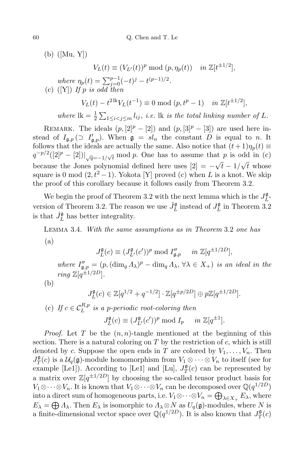(b) ([Mu, Y])

 $V_L(t) \equiv (V_{L'}(t))^p \mod (p, \eta_p(t)) \text{ in } \mathbb{Z}[t^{\pm 1/2}],$ 

where 
$$
\eta_p(t) = \sum_{j=0}^{p-1} (-t)^j - t^{(p-1)/2}
$$
.  
\n(c) ([Y]) If p is odd then  
\n
$$
V_L(t) - t^{2lk} V_L(t^{-1}) \equiv 0 \mod (p, t^p - 1) \quad in \mathbb{Z}[t^{\pm 1/2}],
$$
\nwhere lk =  $\frac{1}{2} \sum_{1 \le i < j \le m} l_{ij}$ , i.e. lk is the total linking number of L.

REMARK. The ideals  $(p, [2]^p - [2])$  and  $(p, [3]^p - [3])$  are used here instead of  $I_{\mathfrak{g},p}(\supset I'_{\mathfrak{g},p})$ . When  $\mathfrak{g} = sl_n$  the constant *D* is equal to *n*. It follows that the ideals are actually the same. Also notice that  $(t+1)\eta_p(t) \equiv$  $q^{-p/2}([2]^p - [2])|_{\sqrt{q}=-1/\sqrt{t}}$  mod *p*. One has to assume that *p* is odd in (c) because the Jones polynomial defined here uses  $[2] = -\sqrt{t} - 1/\sqrt{t}$  whose square is 0 mod  $(2, t^2 - 1)$ . Yokota [Y] proved (c) when *L* is a knot. We skip the proof of this corollary because it follows easily from Theorem 3.2.

We begin the proof of Theorem 3.2 with the next lemma which is the  $J_L^{\mathfrak{g}}$ *L* version of Theorem 3.2. The reason we use  $\hat{J}_L^{\mathfrak{g}}$  instead of  $J_L^{\mathfrak{g}}$  $L<sup>g</sup>$  in Theorem 3.2 is that  $\hat{J}_L^{\mathfrak{g}}$  has better integrality.

Lemma 3.4. *With the same assumptions as in Theorem* 3.2 *one has* (a)

> *J* g  $L^{0}(c) \equiv (J_{L'}^{0}(c'))^{p} \mod I_{\mathfrak{g},p}'' \quad in \mathbb{Z}[q^{\pm 1/2D}],$

where  $I''_{\mathfrak{g},p} = (p, (\dim_q A_\lambda)^p - \dim_q A_\lambda, \forall \lambda \in X_+)$  is an ideal in the *ring*  $\mathbb{Z}[q^{\pm 1/2D}]$ *.* 

(b)

$$
J_L^{\mathfrak{g}}(c) \in \mathbb{Z}[q^{1/2} + q^{-1/2}] \cdot \mathbb{Z}[q^{\pm p/2D}] \oplus p\mathbb{Z}[q^{\pm 1/2D}].
$$

(c) If  $c \in C_L^{R,p}$  $L^{R,p}$  *is a p-periodic root-coloring then* 

> *J* g  $L^{g}(c) \equiv (J_{L'}^{g}(c'))^{p} \mod I_{p} \quad in \mathbb{Z}[q^{\pm 1}].$

*Proof.* Let *T* be the  $(n, n)$ -tangle mentioned at the beginning of this section. There is a natural coloring on *T* by the restriction of *c*, which is still denoted by *c*. Suppose the open ends in *T* are colored by  $V_1, \ldots, V_n$ . Then  $J_T^{\mathfrak{g}}$  $\mathcal{I}_T^{\mathfrak{g}}(c)$  is a  $\mathcal{U}_q(\mathfrak{g})$ -module homomorphism from  $V_1 \otimes \cdots \otimes V_n$  to itself (see for example [Le1]). According to [Le1] and [Lu],  $J_T^{\mathfrak{g}}$  $T<sup>g</sup>(c)$  can be represented by a matrix over  $\mathbb{Z}[q^{\pm 1/2D}]$  by choosing the so-called tensor product basis for *V*<sub>1</sub>⊗· *·* · ⊗*V<sub>n</sub>*. It is known that *V*<sub>1</sub>⊗· *·* ·⊗*V<sub>n</sub>* can be decomposed over  $\mathbb{Q}(q^{1/2D})$ into a direct sum of homogeneous parts, i.e.  $V_1 \otimes \cdots \otimes V_n = \bigoplus_{\lambda \in X_+} E_\lambda$ , where  $E_{\lambda} = \bigoplus \Lambda_{\lambda}$ . Then  $E_{\lambda}$  is isomorphic to  $\Lambda_{\lambda} \otimes N$  as  $U_q(\mathfrak{g})$ -modules, where *N* is a finite-dimensional vector space over  $\mathbb{Q}(q^{1/2D})$ . It is also known that  $J_T^{\mathfrak{g}}$  $T^{\mathfrak{g}}(c)$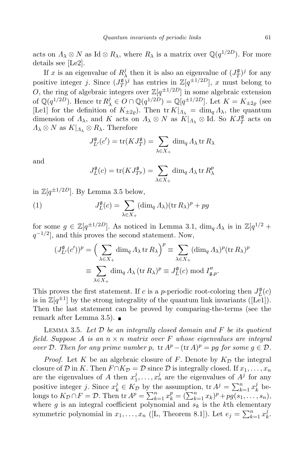acts on  $\Lambda_{\lambda} \otimes N$  as Id  $\otimes R_{\lambda}$ , where  $R_{\lambda}$  is a matrix over  $\mathbb{Q}(q^{1/2D})$ . For more details see [Le2].

If *x* is an eigenvalue of  $R_2^j$  $\frac{J}{\lambda}$  then it is also an eigenvalue of  $(J_T^{\mathfrak{g}})$  $(T^{\mathfrak{g}})$ <sup>*j*</sup> for any positive integer *j*. Since  $(J_T^{\mathfrak{g}})$  $T(T)$  has entries in  $\mathbb{Z}[q^{\pm 1/2}]}$ , *x* must belong to *O*, the ring of algebraic integers over  $\mathbb{Z}[q^{\pm 1/2D}]$  in some algebraic extension of  $\mathbb{Q}(q^{1/2D})$ . Hence  $\text{tr } R^j_{\lambda} \in O \cap \mathbb{Q}(q^{1/2D}) = \mathbb{Q}[q^{\pm 1/2D}]$ . Let  $K = K_{\pm 2\varrho}$  (see [Le1] for the definition of  $K_{\pm 2g}$ . Then tr  $K|_{\Lambda_{\lambda}} = \dim_q \Lambda_{\lambda}$ , the quantum dimension of  $\Lambda_{\lambda}$ , and  $K$  acts on  $\Lambda_{\lambda} \otimes N$  as  $K|_{\Lambda_{\lambda}} \otimes \text{Id}$ . So  $KJ_T^{\mathfrak{g}}$  $T$ <sup>g</sup> acts on  $Λ$ <sub>λ</sub>  $\otimes$  *N* as  $K|_{Λ}$ <sub>λ</sub>  $\otimes$   $R$ <sub>λ</sub>. Therefore

$$
J_{L'}^{\mathfrak{g}}(c') = \text{tr}(KJ_T^{\mathfrak{g}}) = \sum_{\lambda \in X_+} \dim_q \Lambda_\lambda \,\text{tr}\, R_\lambda
$$

and

$$
J_L^{\mathfrak{g}}(c) = \text{tr}(KJ_{T^p}^{\mathfrak{g}}) = \sum_{\lambda \in X_+} \dim_q A_{\lambda} \text{ tr } R_{\lambda}^p
$$

in  $\mathbb{Z}[q^{\pm 1/2D}]$ . By Lemma 3.5 below,

(1) 
$$
J_L^{\mathfrak{g}}(c) = \sum_{\lambda \in X_+} (\dim_q \Lambda_\lambda)(\operatorname{tr} R_\lambda)^p + pg
$$

for some  $g \in \mathbb{Z}[q^{\pm 1/2D}]$ . As noticed in Lemma 3.1,  $\dim_q \Lambda_\lambda$  is in  $\mathbb{Z}[q^{1/2} +$ *q*<sup>−1/2</sup></sub>, and this proves the second statement. Now,

$$
(J_{L'}^{\mathfrak{g}}(c'))^p = \Big(\sum_{\lambda \in X_+} \dim_q \Lambda_\lambda \operatorname{tr} R_\lambda\Big)^p \equiv \sum_{\lambda \in X_+} (\dim_q \Lambda_\lambda)^p (\operatorname{tr} R_\lambda)^p
$$

$$
\equiv \sum_{\lambda \in X_+} \dim_q \Lambda_\lambda (\operatorname{tr} R_\lambda)^p \equiv J_L^{\mathfrak{g}}(c) \bmod I_{\mathfrak{g},p}''.
$$

This proves the first statement. If *c* is a *p*-periodic root-coloring then  $J_L^{\mathfrak{g}}$  $_{L}^{\mathfrak{g}}(c)$ is in  $\mathbb{Z}[q^{\pm 1}]$  by the strong integrality of the quantum link invariants ([Le1]). Then the last statement can be proved by comparing-the-terms (see the remark after Lemma 3.5).  $\blacksquare$ 

Lemma 3.5. *Let D be an integrally closed domain and F be its quotient field. Suppose A is an n × n matrix over F whose eigenvalues are integral over*  $D$ *. Then for any prime number*  $p$ ,  $\text{tr } A^p - (\text{tr } A)^p = pg$  *for some*  $g \in D$ *.* 

*Proof.* Let *K* be an algebraic closure of *F*. Denote by  $K_{\mathcal{D}}$  the integral closure of *D* in *K*. Then  $F \cap K_{\mathcal{D}} = \mathcal{D}$  since *D* is integrally closed. If  $x_1, \ldots, x_n$ are the eigenvalues of A then  $x_1^j$  $x_1^j, \ldots, x_n^j$  are the eigenvalues of  $A^j$  for any positive integer *j*. Since  $x_k^j \in K_D$  by the assumption,  ${\rm tr} A^j = \sum_{k=1}^n x_k^j$  $\frac{j}{k}$  belongs to  $K_{\mathcal{D}} \cap F = \mathcal{D}$ . Then  $\text{tr } A^p = \sum_{k=1}^n x_k^p = (\sum_{k=1}^n x_k)^p + pg(s_1, \ldots, s_n),$ where *g* is an integral coefficient polynomial and  $s_k$  is the *k*th elementary symmetric polynomial in  $x_1, \ldots, x_n$  ([L, Theorem 8.1]). Let  $e_j = \sum_{k=1}^n x_k^j$ *k* .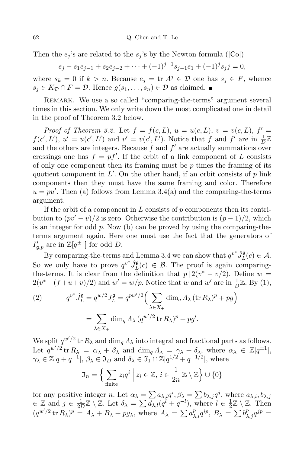Then the  $e_j$ 's are related to the  $s_j$ 's by the Newton formula ([Co])

$$
e_j - s_1 e_{j-1} + s_2 e_{j-2} + \dots + (-1)^{j-1} s_{j-1} e_1 + (-1)^j s_j j = 0,
$$

where  $s_k = 0$  if  $k > n$ . Because  $e_j = \text{tr } A^j \in \mathcal{D}$  one has  $s_j \in F$ , whence *s*<sup>*j*</sup> ∈ *KD*  $\cap$  *F* = *D*. Hence *g*(*s*<sub>1</sub>*, . . , s*<sub>*n*</sub>) ∈ *D* as claimed.

REMARK. We use a so called "comparing-the-terms" argument several times in this section. We only write down the most complicated one in detail in the proof of Theorem 3.2 below.

*Proof of Theorem* 3.2. Let  $f = f(c, L)$ ,  $u = u(c, L)$ ,  $v = v(c, L)$ ,  $f' =$  $f(c', L'), u' = u(c', L')$  and  $v' = v(c', L')$ . Notice that f and f' are in  $\frac{1}{D}\mathbb{Z}$ and the others are integers. Because  $f$  and  $f'$  are actually summations over crossings one has  $f = pf'$ . If the orbit of a link component of L consists of only one component then its framing must be *p* times the framing of its quotient component in L<sup>'</sup>. On the other hand, if an orbit consists of p link components then they must have the same framing and color. Therefore  $u = pu'$ . Then (a) follows from Lemma 3.4(a) and the comparing-the-terms argument.

If the orbit of a component in *L* consists of *p* components then its contribution to  $(pv' - v)/2$  is zero. Otherwise the contribution is  $(p - 1)/2$ , which is an integer for odd *p*. Now (b) can be proved by using the comparing-theterms argument again. Here one must use the fact that the generators of  $I'_{\mathfrak{g},p}$  are in  $\mathbb{Z}[q^{\pm 1}]$  for odd *D*.

By comparing-the-terms and Lemma 3.4 we can show that  $q^{v^*} \hat{J}_L^{\mathfrak{g}}(c) \in \mathcal{A}$ . So we only have to prove  $q^{v^*} \hat{J}_L^{\mathfrak{g}}(c) \in \mathcal{B}$ . The proof is again comparingthe-terms. It is clear from the definition that  $p \mid 2(v^* - v/2)$ . Define  $w =$  $2(v^*-(f+u+v)/2)$  and  $w' = w/p$ . Notice that *w* and *w'* are in  $\frac{1}{D}\mathbb{Z}$ . By (1),

(2) 
$$
q^{v^*} \hat{J}_L^{\mathfrak{g}} = q^{w/2} J_L^{\mathfrak{g}} = q^{pw'/2} \Big( \sum_{\lambda \in X_+} \dim_q \Lambda_\lambda (\text{tr } R_\lambda)^p + pg \Big)
$$

$$
= \sum_{\lambda \in X_+} \dim_q \Lambda_\lambda (q^{w'/2} \text{tr } R_\lambda)^p + pg'.
$$

We split  $q^{w'/2}$  tr  $R_\lambda$  and  $\dim_q \Lambda_\lambda$  into integral and fractional parts as follows. Let  $q^{w'/2}$  tr  $R_{\lambda} = \alpha_{\lambda} + \beta_{\lambda}$  and dim<sub>q</sub>  $\Lambda_{\lambda} = \gamma_{\lambda} + \delta_{\lambda}$ , where  $\alpha_{\lambda} \in \mathbb{Z}[q^{\pm 1}]$ ,  $\gamma_{\lambda} \in \mathbb{Z}[q + q^{-1}], \ \beta_{\lambda} \in \mathfrak{I}_D \text{ and } \delta_{\lambda} \in \mathfrak{I}_1 \cap \mathbb{Z}[q^{1/2} + q^{-1/2}], \text{ where}$ 

$$
\mathfrak{I}_n = \Big\{ \sum_{\text{finite}} z_i q^i \; \Big| \; z_i \in \mathbb{Z}, \, i \in \frac{1}{2n} \mathbb{Z} \setminus \mathbb{Z} \Big\} \cup \{0\}
$$

for any positive integer *n*. Let  $\alpha_{\lambda} = \sum a_{\lambda,i} q^{i}, \beta_{\lambda} = \sum b_{\lambda,j} q^{j}$ , where  $a_{\lambda,i}, b_{\lambda,j}$ *∈* Z and *j ∈* 1  $\frac{1}{2D}\mathbb{Z}\setminus\mathbb{Z}$ . Let  $\delta_{\lambda} = \sum \overline{d_{\lambda,l}}(q^{l} + q^{-l}),$  where  $l \in \frac{1}{2}$  $\frac{1}{2}\mathbb{Z}\setminus\mathbb{Z}$ . Then  $(q^{w'/2} \operatorname{tr} R_\lambda)^p = A_\lambda + B_\lambda + pg_\lambda$ , where  $A_\lambda = \sum a_{\lambda,i}^p q^{ip}, B_\lambda = \sum b_{\lambda,j}^p q^{jp} =$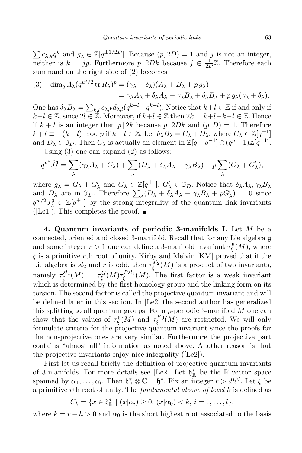$\sum c_{\lambda,k} q^k$  and  $g_{\lambda} \in \mathbb{Z}[q^{\pm 1/2D}]$ . Because  $(p,2D) = 1$  and *j* is not an integer, neither is  $k = jp$ . Furthermore  $p | 2Dk$  because  $j \in \frac{1}{2l}$  $\frac{1}{2D}\mathbb{Z}$ . Therefore each summand on the right side of (2) becomes

(3) 
$$
\dim_q A_\lambda (q^{w'/2} \operatorname{tr} R_\lambda)^p = (\gamma_\lambda + \delta_\lambda)(A_\lambda + B_\lambda + pg_\lambda)
$$
  
=  $\gamma_\lambda A_\lambda + \delta_\lambda A_\lambda + \gamma_\lambda B_\lambda + \delta_\lambda B_\lambda + pg_\lambda(\gamma_\lambda + \delta_\lambda).$ 

One has  $\delta_{\lambda}B_{\lambda} = \sum_{k,l} c_{\lambda,k}d_{\lambda,l}(q^{k+l}+q^{k-l})$ . Notice that  $k+l \in \mathbb{Z}$  if and only if *k*−*l*  $\in \mathbb{Z}$ , since  $2l \in \mathbb{Z}$ . Moreover, if  $k+l \in \mathbb{Z}$  then  $2k = k+l+k-l \in \mathbb{Z}$ . Hence if  $k + l$  is an integer then  $p | 2k$  because  $p | 2Dk$  and  $(p, D) = 1$ . Therefore  $k+l \equiv -(k-l) \mod p$  if  $k+l \in \mathbb{Z}$ . Let  $\delta_{\lambda}B_{\lambda} = C_{\lambda} + D_{\lambda}$ , where  $C_{\lambda} \in \mathbb{Z}[q^{\pm 1}]$ and  $D_{\lambda} \in \mathfrak{I}_D$ . Then  $C_{\lambda}$  is actually an element in  $\mathbb{Z}[q+q^{-1}] \oplus (q^p-1)\mathbb{Z}[q^{\pm 1}]$ .

Using (3) one can expand (2) as follows:

$$
q^{v^*} \hat{J}_L^{\mathfrak{g}} = \sum_{\lambda} (\gamma_{\lambda} A_{\lambda} + C_{\lambda}) + \sum_{\lambda} (D_{\lambda} + \delta_{\lambda} A_{\lambda} + \gamma_{\lambda} B_{\lambda}) + p \sum_{\lambda} (G_{\lambda} + G_{\lambda}'),
$$

where  $g_{\lambda} = G_{\lambda} + G'_{\lambda}$  and  $G_{\lambda} \in \mathbb{Z}[q^{\pm 1}], G'_{\lambda} \in \mathfrak{I}_D$ . Notice that  $\delta_{\lambda} A_{\lambda}, \gamma_{\lambda} B_{\lambda}$ and  $D_{\lambda}$  are in  $\mathfrak{I}_D$ . Therefore  $\sum_{\lambda} (D_{\lambda} + \delta_{\lambda} A_{\lambda} + \gamma_{\lambda} B_{\lambda} + pG'_{\lambda}) = 0$  since  $q^{w/2}J_{\nu}^{\mathfrak{g}} \in \mathbb{Z}[q^{\pm 1}]$  by the strong integrality of the quantum link invariants ([Le1]). This completes the proof.  $\blacksquare$ 

**4. Quantum invariants of periodic 3-manifolds I.** Let *M* be a connected, oriented and closed 3-manifold. Recall that for any Lie algebra g and some integer  $r > 1$  one can define a 3-manifold invariant  $\tau_{\xi}^{\mathfrak{g}}$ *ξ* (*M*), where *ξ* is a primitive *r*th root of unity. Kirby and Melvin [KM] proved that if the Lie algebra is  $sl_2$  and *r* is odd, then  $\tau_{\xi}^{sl_2}(M)$  is a product of two invariants, namely  $\tau_{\varepsilon}^{sl_2}$  $\tau_{\xi}^{sl_2}(M) \; = \; \tau_{\xi}^G(M) \tau_{\xi}^{Psl_2}$ *ξ* (*M*). The first factor is a weak invariant which is determined by the first homology group and the linking form on its torsion. The second factor is called the projective quantum invariant and will be defined later in this section. In [Le2] the second author has generalized this splitting to all quantum groups. For a *p*-periodic 3-manifold *M* one can show that the values of  $\tau_{\xi}^{\mathfrak{g}}$  $\frac{\mathfrak{g}}{\xi}(M)$  and  $\tau_{\xi}^{P\mathfrak{g}}$  $\mathcal{L}_{\xi}^{P\mathfrak{g}}(M)$  are restricted. We will only formulate criteria for the projective quantum invariant since the proofs for the non-projective ones are very similar. Furthermore the projective part contains "almost all" information as noted above. Another reason is that the projective invariants enjoy nice integrality ([Le2]).

First let us recall briefly the definition of projective quantum invariants of 3-manifolds. For more details see [Le2]. Let  $\mathfrak{h}^*_{\mathbb{R}}$  be the R-vector space spanned by  $\alpha_1, \ldots, \alpha_l$ . Then  $\mathfrak{h}_{\mathbb{R}}^* \otimes \mathbb{C} = \mathfrak{h}^*$ . Fix an integer  $r > dh^{\vee}$ . Let  $\xi$  be a primitive *r*th root of unity. The *fundamental alcove of level k* is defined as

$$
C_k = \{x \in \mathfrak{h}_{\mathbb{R}}^* \mid (x|\alpha_i) \geq 0, (x|\alpha_0) < k, i = 1, \ldots, l\},\
$$

where  $k = r - h > 0$  and  $\alpha_0$  is the short highest root associated to the basis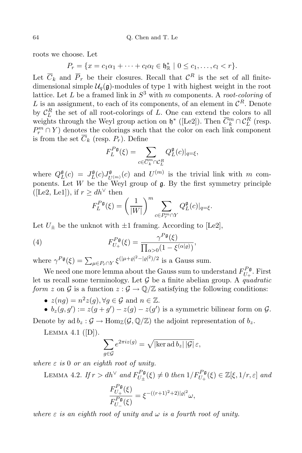roots we choose. Let

$$
P_r = \{x = c_1\alpha_1 + \cdots + c_l\alpha_l \in \mathfrak{h}_{\mathbb{R}}^* \mid 0 \leq c_1, \ldots, c_l < r\}.
$$

Let  $\overline{C}_k$  and  $\overline{P}_r$  be their closures. Recall that  $C^R$  is the set of all finitedimensional simple  $\mathcal{U}_q(\mathfrak{g})$ -modules of type 1 with highest weight in the root lattice. Let *L* be a framed link in *S* <sup>3</sup> with *m* components. A *root-coloring* of *L* is an assignment, to each of its components, of an element in  $\mathcal{C}^R$ . Denote by  $C_L^R$  the set of all root-colorings of *L*. One can extend the colors to all weights through the Weyl group action on  $\mathfrak{h}^*$  ([Le2]). Then  $\overline{C}_k^m \cap C_L^R$  (resp.  $P^m$  ∩ *Y*) denotes the colorings such that the color on each link component is from the set  $\overline{C}_k$  (resp.  $P_r$ ). Define

$$
F_L^{P\mathfrak{g}}(\xi) = \sum_{c \in \overline{C}_k^m \cap \mathcal{C}_L^R} Q_L^{\mathfrak{g}}(c)|_{q=\xi},
$$

where  $Q_I^{\mathfrak{g}}$  $L$ <sub>*L*</sub> $(c)$  =  $J_L$ **g**  $_{L}^{\mathfrak{g}}(c)J_{U}^{\mathfrak{g}}$  $U^{(m)}(c)$  and  $U^{(m)}$  is the trivial link with *m* components. Let  $W$  be the Weyl group of  $\mathfrak{g}$ . By the first symmetry principle ([Le2, Le1]), if  $r > dh^{\vee}$  then

$$
F_L^{P\mathfrak{g}}(\xi) = \left(\frac{1}{|W|}\right)^m \sum_{c \in P_r^m \cap Y} Q_L^{\mathfrak{g}}(c)|_{q=\xi}.
$$

Let  $U_{\pm}$  be the unknot with  $\pm 1$  framing. According to [Le2],

(4) 
$$
F_{U_+}^{P\mathfrak{g}}(\xi) = \frac{\gamma^{P\mathfrak{g}}(\xi)}{\prod_{\alpha>0} (1 - \xi^{(\alpha|\varrho)})},
$$

where  $\gamma^{P\mathfrak{g}}(\xi) = \sum_{\mu \in P_r \cap Y} \xi^{(|\mu + \varrho|^2 - |\varrho|^2)/2}$  is a Gauss sum.

We need one more lemma about the Gauss sum to understand  $F_{U_+}^{P\mathfrak{g}}$  $U_+^{\Gamma}$ <sup>u</sup>. First let us recall some terminology. Let *G* be a finite abelian group. A *quadratic form z* on *G* is a function  $z : \mathcal{G} \to \mathbb{Q}/\mathbb{Z}$  satisfying the following conditions:

•  $z(ng) = n^2z(g)$ ,  $\forall g \in \mathcal{G}$  and  $n \in \mathbb{Z}$ .

•  $b_z(g, g') := z(g + g') - z(g) - z(g')$  is a symmetric bilinear form on  $G$ . Denote by ad  $b_z$  :  $\mathcal{G} \to \text{Hom}_{\mathbb{Z}}(\mathcal{G}, \mathbb{Q}/\mathbb{Z})$  the adjoint representation of  $b_z$ .

LEMMA 4.1  $([D])$ .

$$
\sum_{g \in \mathcal{G}} e^{2\pi i z(g)} = \sqrt{|\ker \operatorname{ad} b_z| |\mathcal{G}|} \varepsilon,
$$

 $where \varepsilon$  *is* 0 *or an eighth root of unity.* 

LEMMA 4.2. If  $r > dh^{\vee}$  and  $F_{U_{+}}^{P\mathfrak{g}}$  $U_{\pm}^{P_{\mathfrak{g}}}(\xi) \neq 0$  *then*  $1/F_{U_{+}}^{P_{\mathfrak{g}}}(\xi) \in \mathbb{Z}[\xi, 1/r, \varepsilon]$  *and* 

$$
\frac{F_{U_+}^{P\mathfrak{g}}(\xi)}{F_{U_-}^{P\mathfrak{g}}(\xi)} = \xi^{-((r+1)^2+2)|\varrho|^2} \omega,
$$

*where*  $\varepsilon$  *is* an eighth root of unity and  $\omega$  *is* a fourth root of unity.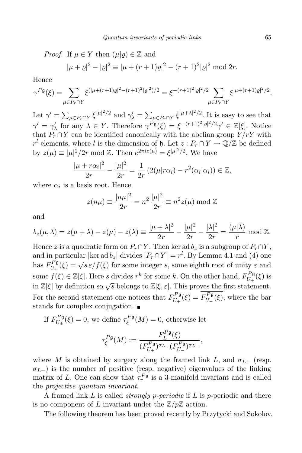*Proof.* If  $\mu \in Y$  then  $(\mu|\rho) \in \mathbb{Z}$  and

$$
|\mu + \varrho|^2 - |\varrho|^2 \equiv |\mu + (r+1)\varrho|^2 - (r+1)^2 |\varrho|^2 \bmod 2r.
$$

Hence

$$
\gamma^{P\mathfrak{g}}(\xi) = \sum_{\mu \in P_r \cap Y} \xi^{(|\mu + (r+1)\varrho|^2 - (r+1)^2|\varrho|^2)/2} = \xi^{-(r+1)^2|\varrho|^2/2} \sum_{\mu \in P_r \cap Y} \xi^{|\mu + (r+1)\varrho|^2/2}.
$$

Let  $\gamma' = \sum_{\mu \in P_r \cap Y} \xi^{|\mu|^2/2}$  and  $\gamma'_{\lambda} = \sum_{\mu \in P_r \cap Y} \xi^{|\mu + \lambda|^2/2}$ . It is easy to see that  $\gamma' = \gamma'_{\lambda}$  for any  $\lambda \in Y$ . Therefore  $\gamma^{P\mathfrak{g}}(\xi) = \xi^{-(r+1)^2|e|^2/2}\gamma' \in \mathbb{Z}[\xi]$ . Notice that  $P_r \cap Y$  can be identified canonically with the abelian group  $Y/rY$  with *r*<sup>*l*</sup> elements, where *l* is the dimension of h. Let  $z : P_r \cap Y \to \mathbb{Q}/\mathbb{Z}$  be defined by  $z(\mu) \equiv |\mu|^2/2r \mod \mathbb{Z}$ . Then  $e^{2\pi i z(\mu)} = \xi^{|\mu|^2/2}$ . We have

$$
\frac{|\mu + r\alpha_i|^2}{2r} - \frac{|\mu|^2}{2r} = \frac{1}{2r} \left( 2(\mu | r\alpha_i) - r^2(\alpha_i | \alpha_i) \right) \in \mathbb{Z},
$$

where  $\alpha_i$  is a basis root. Hence

$$
z(n\mu) \equiv \frac{|n\mu|^2}{2r} = n^2 \frac{|\mu|^2}{2r} \equiv n^2 z(\mu) \bmod \mathbb{Z}
$$

and

$$
b_z(\mu,\lambda) = z(\mu+\lambda) - z(\mu) - z(\lambda) \equiv \frac{|\mu+\lambda|^2}{2r} - \frac{|\mu|^2}{2r} - \frac{|\lambda|^2}{2r} = \frac{(\mu|\lambda)}{r} \mod \mathbb{Z}.
$$

Hence *z* is a quadratic form on  $P_r \cap Y$ . Then ker ad  $b_z$  is a subgroup of  $P_r \cap Y$ , and in particular  $|\text{ker } \text{ad } b_z|$  divides  $|P_r \cap Y| = r^l$ . By Lemma 4.1 and (4) one  $\mathrm{has}~F_{U_\pm}^{P\mathfrak{g}}$  $U_{\text{U}_{+}}^{P_{\mathfrak{g}}}(\xi) = \sqrt{s} \,\varepsilon / f(\xi)$  for some integer *s*, some eighth root of unity  $\varepsilon$  and some  $f(\xi) \in \mathbb{Z}[\xi]$ . Here *s* divides  $r^k$  for some *k*. On the other hand,  $F_{U_+}^{P\mathfrak{g}}$  $U_{+}^{T,\mathfrak{g}}(\xi)$  is in  $\mathbb{Z}[\xi]$  by definition so  $\sqrt{s}$  belongs to  $\mathbb{Z}[\xi,\varepsilon]$ . This proves the first statement. For the second statement one notices that  $F_{U_1}^{P\mathfrak{g}}$  $U_{+}^{P\mathfrak{g}}(\xi) = F_{U_{-}}^{P\mathfrak{g}}$  $U_{\text{L}}^{\text{P}}(\xi)$ , where the bar stands for complex conjugation.  $\blacksquare$ 

If 
$$
F_{U_{\pm}}^{P\mathfrak{g}}(\xi) = 0
$$
, we define  $\tau_{\xi}^{P\mathfrak{g}}(M) = 0$ , otherwise let

$$
\tau_{\xi}^{P\mathfrak{g}}(M) := \frac{F_L^{P\mathfrak{g}}(\xi)}{(F_{U_+}^{P\mathfrak{g}})^{\sigma_{L+}} (F_{U_-}^{P\mathfrak{g}})^{\sigma_{L-}}},
$$

where *M* is obtained by surgery along the framed link *L*, and  $\sigma_{L+}$  (resp.  $\sigma$ *L*<sup>−</sup>) is the number of positive (resp. negative) eigenvalues of the linking matrix of *L*. One can show that  $\tau_r^{P\mathfrak{g}}$  is a 3-manifold invariant and is called the *projective quantum invariant*.

A framed link *L* is called *strongly p-periodic* if *L* is *p*-periodic and there is no component of *L* invariant under the  $\mathbb{Z}/p\mathbb{Z}$  action.

The following theorem has been proved recently by Przytycki and Sokolov.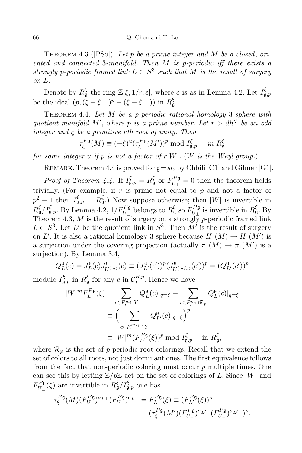## 66 Q. Chen and T. Le

THEOREM 4.3 ([PSo]). Let *p* be a prime integer and M be a closed, ori*ented and connected* 3*-manifold. Then M is p-periodic iff there exists a*  $\frac{1}{2}$  *strongly p*-periodic framed link  $L \subset S^3$  such that M is the result of surgery *on L.*

Denote by  $R^{\xi}_{\mathfrak{g}}$  the ring  $\mathbb{Z}[\xi, 1/r, \varepsilon]$ , where  $\varepsilon$  is as in Lemma 4.2. Let  $I^{\xi}_{\mathfrak{g},p}$ be the ideal  $(p,(\xi + \xi^{-1})^p - (\xi + \xi^{-1}))$  in  $R_{\mathfrak{g}}^{\xi}$ .

Theorem 4.4. *Let M be a p-periodic rational homology* 3*-sphere with quotient* manifold  $M'$ , where p is a prime number. Let  $r > dh^{\vee}$  be an odd *integer and ξ be a primitive rth root of unity. Then*

$$
\tau_{\xi}^{P\mathfrak{g}}(M) \equiv (-\xi)^u (\tau_{\xi}^{P\mathfrak{g}}(M'))^p \bmod I_{\mathfrak{g},p}^{\xi} \quad in \ R_{\mathfrak{g}}^{\xi}
$$

*for some integer*  $u$  *if*  $p$  *is not*  $a$  *factor of*  $r|W|$ *.* (*W is the Weyl group.*)

REMARK. Theorem 4.4 is proved for  $g=s l_2$  by Chbili [C1] and Gilmer [G1].

*Proof of Theorem* 4.4. If  $I_{\mathfrak{g},p}^{\xi} = R_{\mathfrak{g}}^{\xi}$  or  $F_{U_{+}}^{P_{\mathfrak{g}}}$  $U_{+}^{P,\mathfrak{g}}=0$  then the theorem holds trivially. (For example, if *r* is prime not equal to *p* and not a factor of  $p^2 - 1$  then  $I_{\mathfrak{g},p}^{\xi} = R_{\mathfrak{g}}^{\xi}$ .) Now suppose otherwise; then *|W|* is invertible in  $R^{\xi}_{\mathfrak{g}}/I^{\xi}_{\mathfrak{g},p}$ . By Lemma 4.2,  $1/F^{P_{\mathfrak{g}}}_{U_{\pm}}$  belongs to  $R^{\xi}_{\mathfrak{g}}$  so  $F^{P_{\mathfrak{g}}}_{U_{\pm}}$  $U_{\pm}^{P_{\mathfrak{g}}}$  is invertible in  $R_{\mathfrak{g}}^{\xi}$ . By Theorem 4.3, *M* is the result of surgery on a strongly *p*-periodic framed link  $L \subset S^3$ . Let *L'* be the quotient link in  $S^3$ . Then *M'* is the result of surgery on *L'*. It is also a rational homology 3-sphere because  $H_1(M) \to H_1(M')$  is a surjection under the covering projection (actually  $\pi_1(M) \to \pi_1(M')$  is a surjection). By Lemma 3.4,

$$
Q_{L}^{\mathfrak{g}}(c) = J_{L}^{\mathfrak{g}}(c) J_{U^{(m)}}^{\mathfrak{g}}(c) \equiv (J_{L'}^{\mathfrak{g}}(c'))^{p} (J_{U^{(m/p)}}^{\mathfrak{g}}(c'))^{p} = (Q_{L'}^{\mathfrak{g}}(c'))^{p}
$$

modulo  $I_{\mathfrak{g},p}^{\xi}$  in  $R_{\mathfrak{g}}^{\xi}$  for any  $c$  in  $\mathcal{C}_{L}^{R,p}$  $L^{R,p}$ . Hence we have

$$
|W|^m F_L^{P\mathfrak{g}}(\xi) = \sum_{c \in P_r^m \cap Y} Q_L^{\mathfrak{g}}(c)|_{q=\xi} \equiv \sum_{c \in P_r^m \cap \mathcal{R}_p} Q_L^{\mathfrak{g}}(c)|_{q=\xi}
$$

$$
\equiv \left(\sum_{c \in P_r^m / P \cap Y} Q_L^{\mathfrak{g}}(c)|_{q=\xi}\right)^p
$$

$$
\equiv |W|^m (F_{L'}^{P\mathfrak{g}}(\xi))^p \bmod I_{\mathfrak{g},p}^{\xi} \quad \text{in } R_{\mathfrak{g}}^{\xi},
$$

where  $\mathcal{R}_p$  is the set of *p*-periodic root-colorings. Recall that we extend the set of colors to all roots, not just dominant ones. The first equivalence follows from the fact that non-periodic coloring must occur *p* multiple times. One can see this by letting  $\mathbb{Z}/p\mathbb{Z}$  act on the set of colorings of *L*. Since  $|W|$  and  $F_{II\perp}^{P\mathfrak{g}}$  $U^P_{\pm}(\xi)$  are invertible in  $R^{\xi}_{\mathfrak{g}}/I^{\xi}_{\mathfrak{g},p}$  one has

$$
\tau_{\xi}^{P\mathfrak{g}}(M)(F_{U_{+}}^{P\mathfrak{g}})^{\sigma_{L+}}(F_{U_{-}}^{P\mathfrak{g}})^{\sigma_{L-}} = F_{L}^{P\mathfrak{g}}(\xi) \equiv (F_{L'}^{P\mathfrak{g}}(\xi))^{p}
$$
  
= 
$$
(\tau_{\xi}^{P\mathfrak{g}}(M')(F_{U_{+}}^{P\mathfrak{g}})^{\sigma_{L'+}}(F_{U_{-}}^{P\mathfrak{g}})^{\sigma_{L'-}})^{p},
$$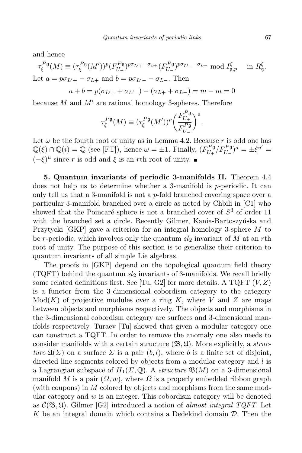and hence

$$
\tau_{\xi}^{P\mathfrak{g}}(M) \equiv (\tau_{\xi}^{P\mathfrak{g}}(M'))^{p} (F_{U_{+}}^{P\mathfrak{g}})^{p\sigma_{L'+}-\sigma_{L+}} (F_{U_{-}}^{P\mathfrak{g}})^{p\sigma_{L'-}-\sigma_{L-}} \text{ mod } I_{\mathfrak{g},p}^{\xi} \quad \text{in } R_{\mathfrak{g}}^{\xi}.
$$
  
Let  $a = p\sigma_{L'+}-\sigma_{L+}$  and  $b = p\sigma_{L'-}-\sigma_{L-}$ . Then

$$
a + b = p(\sigma_{L' +} + \sigma_{L' -}) - (\sigma_{L +} + \sigma_{L -}) = m - m = 0
$$

because  $M$  and  $M'$  are rational homology 3-spheres. Therefore

$$
\tau_{\xi}^{P\mathfrak{g}}(M) \equiv (\tau_{\xi}^{P\mathfrak{g}}(M'))^{p} \bigg(\frac{F_{U_{+}}^{P\mathfrak{g}}}{F_{U_{-}}^{P\mathfrak{g}}}\bigg)^{a}.
$$

Let  $\omega$  be the fourth root of unity as in Lemma 4.2. Because  $r$  is odd one has  $\mathbb{Q}(\xi) \cap \mathbb{Q}(i) = \mathbb{Q}$  (see [FT]), hence  $\omega = \pm 1$ . Finally,  $(F_{U_+}^{P\mathfrak{g}})$  $\int_{U_{+}}^{P_{\mathfrak{g}}} \frac{1}{F_{U_{-}}^{P_{\mathfrak{g}}}}$ <sup>*a*</sup> =  $\pm \xi^{u'}$  =  $(-ξ)^u$  since *r* is odd and  $ξ$  is an *r*th root of unity.

**5. Quantum invariants of periodic 3-manifolds II.** Theorem 4.4 does not help us to determine whether a 3-manifold is *p*-periodic. It can only tell us that a 3-manifold is not a *p*-fold branched covering space over a particular 3-manifold branched over a circle as noted by Chbili in [C1] who showed that the Poincaré sphere is not a branched cover of  $S<sup>3</sup>$  of order 11 with the branched set a circle. Recently Gilmer, Kania-Bartoszynska and Przytycki [GKP] gave a criterion for an integral homology 3-sphere *M* to be *r*-periodic, which involves only the quantum *sl*<sup>2</sup> invariant of *M* at an *r*th root of unity. The purpose of this section is to generalize their criterion to quantum invariants of all simple Lie algebras.

The proofs in [GKP] depend on the topological quantum field theory (TQFT) behind the quantum *sl*<sup>2</sup> invariants of 3-manifolds. We recall briefly some related definitions first. See [Tu, G2] for more details. A TQFT (*V,Z*) is a functor from the 3-dimensional cobordism category to the category Mod(*K*) of projective modules over a ring *K*, where *V* and *Z* are maps between objects and morphisms respectively. The objects and morphisms in the 3-dimensional cobordism category are surfaces and 3-dimensional manifolds respectively. Turaev [Tu] showed that given a modular category one can construct a TQFT. In order to remove the anomaly one also needs to consider manifolds with a certain structure (B*,* U). More explicitly, a *structure*  $\mathfrak{U}(\Sigma)$  on a surface  $\Sigma$  is a pair  $(b, l)$ , where *b* is a finite set of disjoint, directed line segments colored by objects from a modular category and *l* is a Lagrangian subspace of  $H_1(\Sigma, \mathbb{Q})$ . A *structure*  $\mathfrak{B}(M)$  on a 3-dimensional manifold *M* is a pair  $(\Omega, w)$ , where  $\Omega$  is a properly embedded ribbon graph (with coupons) in *M* colored by objects and morphisms from the same modular category and *w* is an integer. This cobordism category will be denoted as  $\mathcal{C}(\mathfrak{B}, \mathfrak{U})$ . Gilmer [G2] introduced a notion of *almost integral*  $TQFT$ . Let *K* be an integral domain which contains a Dedekind domain *D*. Then the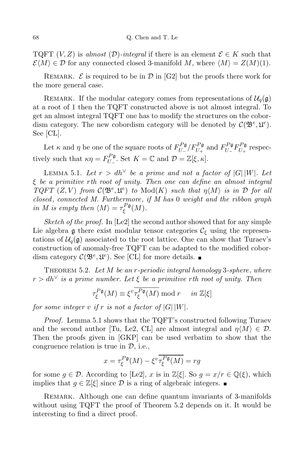TQFT  $(V, Z)$  is *almost*  $(D)$ -integral if there is an element  $\mathcal{E} \in K$  such that  $\mathcal{E}(M) \in \mathcal{D}$  for any connected closed 3-manifold *M*, where  $\langle M \rangle = Z(M)(1)$ .

REMARK.  $\mathcal E$  is required to be in  $\mathcal D$  in [G2] but the proofs there work for the more general case.

REMARK. If the modular category comes from representations of  $\mathcal{U}_q(\mathfrak{g})$ at a root of 1 then the TQFT constructed above is not almost integral. To get an almost integral TQFT one has to modify the structures on the cobordism category. The new cobordism category will be denoted by  $\mathcal{C}(\mathfrak{B}^e, \mathfrak{U}^e)$ . See [CL].

Let  $\kappa$  and  $\eta$  be one of the square roots of  $F_{U_{-}}^{P\mathfrak{g}}$ *U*<sup>*D*</sup>**g**<sub>*U*<sup>*D*</sup><sub>*U*</sub><sup>*D*</sup><sub>*U*</sub><sup>*D*</sup><sub>*U*</sub><sup>*D*</sup><sub>*U*</sub><sup>*D*</sup><sub>*U*</sub><sup>*D*</sup><sub>*U*</sub><sup>*D*</sup><sub>*U*</sub><sup>*D*</sup><sup>*D*</sup><sub>*U*</sub><sup>*D*</sup><sup>*D*</sup><sup>*D*</sup></sub> *U*<sup>−</sup>*P*g<sub>*U*<sup>−</sup></del></sub>  $U_+^{\Gamma\,\mathfrak{g}}$  respectively such that  $\kappa \eta = F_{U_-}^{P\mathfrak{g}}$  $U_{\text{U}_-}^{\text{L-g}}$ . Set  $K = \mathbb{C}$  and  $\mathcal{D} = \mathbb{Z}[\xi, \kappa].$ 

LEMMA 5.1. Let  $r > dh^{\vee}$  be a prime and not a factor of  $|G||W|$ . Let *ξ be a primitive rth root of unity. Then one can define an almost integral TQFT*  $(Z, V)$  *from*  $C(\mathfrak{B}^e, \mathfrak{U}^e)$  *to* Mod $(K)$  *such that*  $\eta \langle M \rangle$  *is in D for all closed*, *connected M. Furthermore*, *if M has* 0 *weight and the ribbon graph in M is empty then*  $\langle M \rangle = \tau_{\xi}^{P\mathfrak{g}}$ *ξ* (*M*)*.*

*Sketch of the proof.* In [Le2] the second author showed that for any simple Lie algebra  $\mathfrak g$  there exist modular tensor categories  $\mathcal C_{\xi}$  using the representations of  $\mathcal{U}_q(\mathfrak{g})$  associated to the root lattice. One can show that Turaev's construction of anomaly-free TQFT can be adapted to the modified cobordism category  $\mathcal{C}(\mathfrak{B}^e, \mathfrak{U}^e)$ . See [CL] for more details.

Theorem 5.2. *Let M be an r-periodic integral homology* 3*-sphere*, *where*  $r > dh^{\vee}$  *is a prime number.* Let  $\xi$  *be a primitive r*th *root of unity.* Then

$$
\tau_{\xi}^{P\mathfrak{g}}(M) \equiv \xi^v \overline{\tau_{\xi}^{P\mathfrak{g}}(M)} \bmod r \quad in \mathbb{Z}[\xi]
$$

*for some integer*  $v$  *if*  $r$  *is not a factor of*  $|G| |W|$ *.* 

*Proof.* Lemma 5.1 shows that the TQFT's constructed following Turaev and the second author [Tu, Le2, CL] are almost integral and  $\eta \langle M \rangle \in \mathcal{D}$ . Then the proofs given in [GKP] can be used verbatim to show that the congruence relation is true in *D*, i.e.,

$$
x = \tau_{\xi}^{P\mathfrak{g}}(M) - \xi^v \overline{\tau_{\xi}^{P\mathfrak{g}}(M)} = rg
$$

for some  $g \in \mathcal{D}$ . According to [Le2], x is in  $\mathbb{Z}[\xi]$ . So  $g = x/r \in \mathbb{Q}(\xi)$ , which implies that  $g \in \mathbb{Z}[\xi]$  since  $\mathcal D$  is a ring of algebraic integers. ■

REMARK. Although one can define quantum invariants of 3-manifolds without using TQFT the proof of Theorem 5.2 depends on it. It would be interesting to find a direct proof.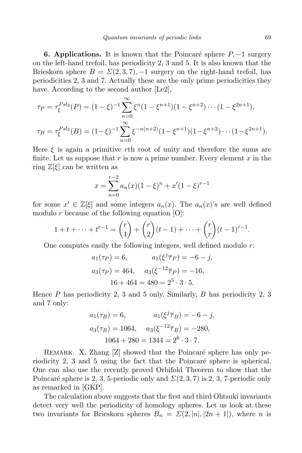**6. Applications.** It is known that the Poincaré sphere  $P$ ,  $-1$  surgery on the left-hand trefoil, has periodicity 2, 3 and 5. It is also known that the Brieskorn sphere  $B = \Sigma(2,3,7)$ ,  $-1$  surgery on the right-hand trefoil, has periodicities 2, 3 and 7. Actually these are the only prime periodicities they have. According to the second author [Le2],

$$
\tau_P = \tau_{\xi}^{Psl_2}(P) = (1 - \xi)^{-1} \sum_{n=0}^{\infty} \xi^n (1 - \xi^{n+1}) (1 - \xi^{n+2}) \cdots (1 - \xi^{2n+1}),
$$
  

$$
\tau_B = \tau_{\xi}^{Psl_2}(B) = (1 - \xi)^{-1} \sum_{n=0}^{\infty} \xi^{-n(n+2)} (1 - \xi^{n+1}) (1 - \xi^{n+2}) \cdots (1 - \xi^{2n+1}).
$$

Here *ξ* is again a primitive *r*th root of unity and therefore the sums are finite. Let us suppose that *r* is now a prime number. Every element *x* in the ring  $\mathbb{Z}[\xi]$  can be written as

$$
x = \sum_{n=0}^{r-2} a_n(x)(1-\xi)^n + x'(1-\xi)^{r-1}
$$

for some  $x' \in \mathbb{Z}[\xi]$  and some integers  $a_n(x)$ . The  $a_n(x)$ 's are well defined modulo *r* because of the following equation [O]:

$$
1 + t + \dots + t^{r-1} = \binom{r}{1} + \binom{r}{2}(t-1) + \dots + \binom{r}{r}(t-1)^{r-1}.
$$

One computes easily the following integers, well defined modulo *r*:

$$
a_1(\tau_P) = 6,
$$
  $a_1(\xi^j \overline{\tau}_P) = -6 - j,$   
\n $a_3(\tau_P) = 464,$   $a_3(\xi^{-12} \overline{\tau}_P) = -16,$   
\n $16 + 464 = 480 = 2^5 \cdot 3 \cdot 5.$ 

Hence *P* has periodicity 2, 3 and 5 only. Similarly, *B* has periodicity 2, 3 and 7 only:

$$
a_1(\tau_B) = 6,
$$
  $a_1(\xi^j \overline{\tau}_B) = -6 - j,$   
\n $a_3(\tau_B) = 1064,$   $a_3(\xi^{-12} \overline{\tau}_B) = -280,$   
\n $1064 + 280 = 1344 = 2^6 \cdot 3 \cdot 7.$ 

REMARK. X. Zhang [Z] showed that the Poincaré sphere has only periodicity 2, 3 and 5 using the fact that the Poincaré sphere is spherical. One can also use the recently proved Orbifold Theorem to show that the Poincaré sphere is 2, 3, 5-periodic only and  $\mathcal{Z}(2,3,7)$  is 2, 3, 7-periodic only as remarked in [GKP].

The calculation above suggests that the first and third Ohtsuki invariants detect very well the periodicity of homology spheres. Let us look at these two invariants for Brieskorn spheres  $B_n = \Sigma(2, |n|, |2n + 1|)$ , where *n* is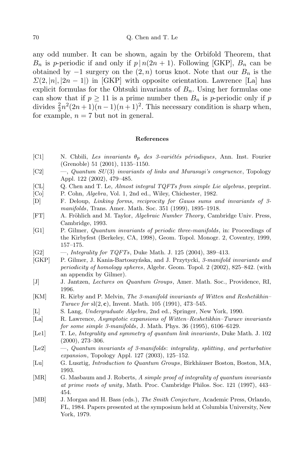any odd number. It can be shown, again by the Orbifold Theorem, that *B<sub>n</sub>* is *p*-periodic if and only if  $p | n(2n + 1)$ . Following [GKP],  $B_n$  can be obtained by  $-1$  surgery on the  $(2, n)$  torus knot. Note that our  $B_n$  is the  $\Sigma(2, |n|, |2n-1|)$  in [GKP] with opposite orientation. Lawrence [La] has explicit formulas for the Ohtsuki invariants of  $B_n$ . Using her formulas one can show that if  $p \geq 11$  is a prime number then  $B_n$  is *p*-periodic only if *p* divides  $\frac{2}{3}n^2(2n+1)(n-1)(n+1)^2$ . This necessary condition is sharp when, for example,  $n = 7$  but not in general.

## **References**

- [C1] N. Chbili, Les invariants  $\theta_p$  des 3-variétés périodiques, Ann. Inst. Fourier (Grenoble) 51 (2001), 1135–1150.
- [C2] —, *Quantum SU*(3) *invariants of links and Murasugi's congruence*, Topology Appl. 122 (2002), 479–485.
- [CL] Q. Chen and T. Le, *Almost integral TQFTs from simple Lie algebras*, preprint.
- [Co] P. Cohn, *Algebra*, Vol. 1, 2nd ed., Wiley, Chichester, 1982.
- [D] F. Deloup, *Linking forms, reciprocity for Gauss sums and invariants of 3 manifolds*, Trans. Amer. Math. Soc. 351 (1999), 1895–1918.
- [FT] A. Fröhlich and M. Taylor, *Algebraic Number Theory*, Cambridge Univ. Press, Cambridge, 1993.
- [G1] P. Gilmer, *Quantum invariants of periodic three-manifolds*, in: Proceedings of the Kirbyfest (Berkeley, CA, 1998), Geom. Topol. Monogr. 2, Coventry, 1999, 157–175.
- [G2] —, *Integrality for TQFTs*, Duke Math. J. 125 (2004), 389–413.
- [GKP] P. Gilmer, J. Kania-Bartoszyńska, and J. Przytycki, 3-manifold *invariants* and *periodicity of homology spheres*, Algebr. Geom. Topol. 2 (2002), 825–842. (with an appendix by Gilmer).
- [J] J. Jantzen, *Lectures on Quantum Groups*, Amer. Math. Soc., Providence, RI, 1996.
- [KM] R. Kirby and P. Melvin, *The 3-manifold invariants of Witten and Reshetikhin– Turaev for* sl(2*,* **c**), Invent. Math. 105 (1991), 473–545.
- [L] S. Lang, *Undergraduate Algebra*, 2nd ed., Springer, New York, 1990.
- [La] R. Lawrence, *Asymptotic expansions of Witten–Reshetikhin–Turaev invariants for some simple 3-manifolds*, J. Math. Phys. 36 (1995), 6106–6129.
- [Le1] T. Le, *Integrality and symmetry of quantum link invariants*, Duke Math. J. 102 (2000), 273–306.
- [Le2] —, *Quantum invariants of 3-manifolds*: *integrality*, *splitting*, *and perturbative expansion*, Topology Appl. 127 (2003), 125–152.
- [Lu] G. Lusztig, *Introduction to Quantum Groups*, Birkh¨auser Boston, Boston, MA, 1993.
- [MR] G. Masbaum and J. Roberts, *A simple proof of integrality of quantum invariants at prime roots of unity*, Math. Proc. Cambridge Philos. Soc. 121 (1997), 443– 454.
- [MB] J. Morgan and H. Bass (eds.), *The Smith Conjecture*, Academic Press, Orlando, FL, 1984. Papers presented at the symposium held at Columbia University, New York, 1979.